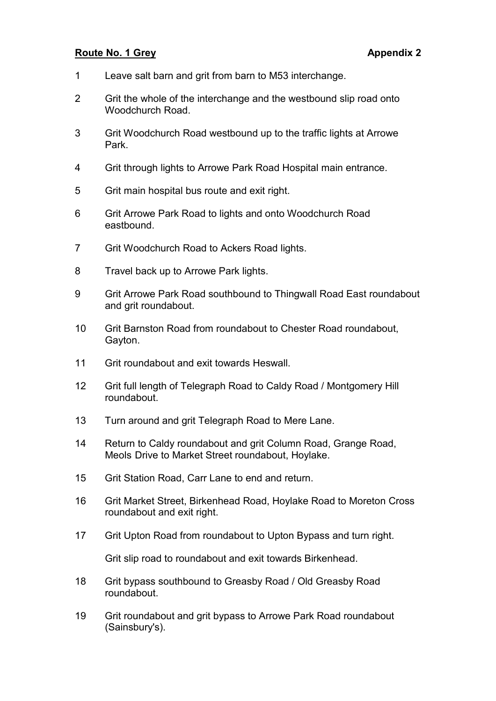#### Route No. 1 Grey **Appendix 2** Appendix 2

- 1 Leave salt barn and grit from barn to M53 interchange.
- 2 Grit the whole of the interchange and the westbound slip road onto Woodchurch Road.
- 3 Grit Woodchurch Road westbound up to the traffic lights at Arrowe Park.
- 4 Grit through lights to Arrowe Park Road Hospital main entrance.
- 5 Grit main hospital bus route and exit right.
- 6 Grit Arrowe Park Road to lights and onto Woodchurch Road eastbound.
- 7 Grit Woodchurch Road to Ackers Road lights.
- 8 Travel back up to Arrowe Park lights.
- 9 Grit Arrowe Park Road southbound to Thingwall Road East roundabout and grit roundabout.
- 10 Grit Barnston Road from roundabout to Chester Road roundabout, Gayton.
- 11 Grit roundabout and exit towards Heswall.
- 12 Grit full length of Telegraph Road to Caldy Road / Montgomery Hill roundabout.
- 13 Turn around and grit Telegraph Road to Mere Lane.
- 14 Return to Caldy roundabout and grit Column Road, Grange Road, Meols Drive to Market Street roundabout, Hoylake.
- 15 Grit Station Road, Carr Lane to end and return.
- 16 Grit Market Street, Birkenhead Road, Hoylake Road to Moreton Cross roundabout and exit right.
- 17 Grit Upton Road from roundabout to Upton Bypass and turn right.

Grit slip road to roundabout and exit towards Birkenhead.

- 18 Grit bypass southbound to Greasby Road / Old Greasby Road roundabout.
- 19 Grit roundabout and grit bypass to Arrowe Park Road roundabout (Sainsbury's).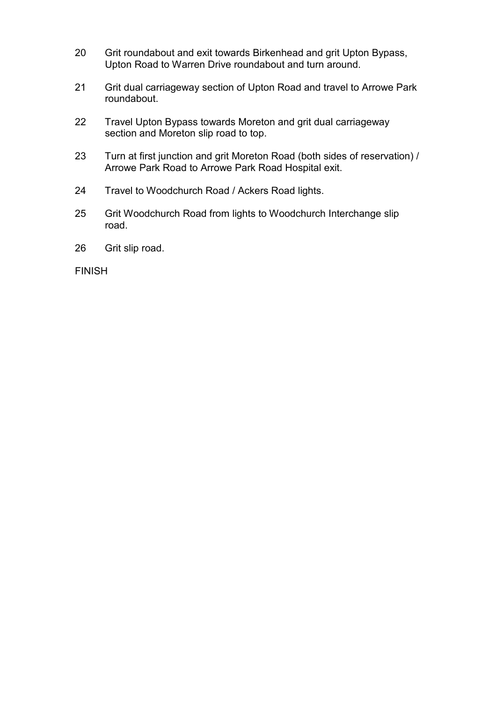- 20 Grit roundabout and exit towards Birkenhead and grit Upton Bypass, Upton Road to Warren Drive roundabout and turn around.
- 21 Grit dual carriageway section of Upton Road and travel to Arrowe Park roundabout.
- 22 Travel Upton Bypass towards Moreton and grit dual carriageway section and Moreton slip road to top.
- 23 Turn at first junction and grit Moreton Road (both sides of reservation) / Arrowe Park Road to Arrowe Park Road Hospital exit.
- 24 Travel to Woodchurch Road / Ackers Road lights.
- 25 Grit Woodchurch Road from lights to Woodchurch Interchange slip road.
- 26 Grit slip road.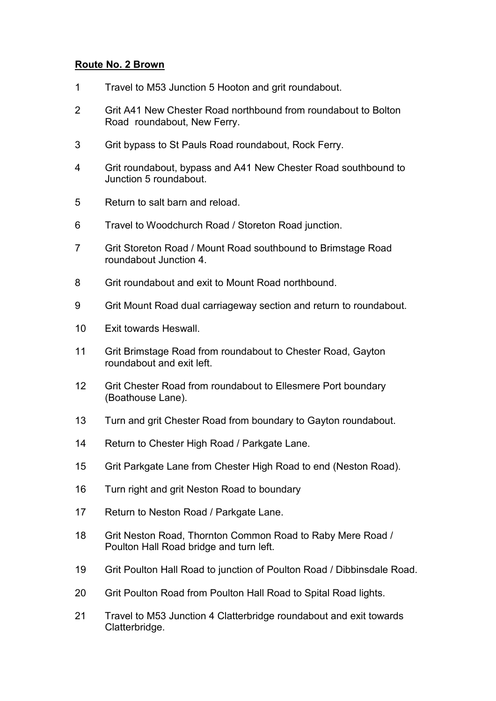### Route No. 2 Brown

- 1 Travel to M53 Junction 5 Hooton and grit roundabout.
- 2 Grit A41 New Chester Road northbound from roundabout to Bolton Road roundabout, New Ferry.
- 3 Grit bypass to St Pauls Road roundabout, Rock Ferry.
- 4 Grit roundabout, bypass and A41 New Chester Road southbound to Junction 5 roundabout.
- 5 Return to salt barn and reload.
- 6 Travel to Woodchurch Road / Storeton Road junction.
- 7 Grit Storeton Road / Mount Road southbound to Brimstage Road roundabout Junction 4.
- 8 Grit roundabout and exit to Mount Road northbound.
- 9 Grit Mount Road dual carriageway section and return to roundabout.
- 10 Exit towards Heswall.
- 11 Grit Brimstage Road from roundabout to Chester Road, Gayton roundabout and exit left.
- 12 Grit Chester Road from roundabout to Ellesmere Port boundary (Boathouse Lane).
- 13 Turn and grit Chester Road from boundary to Gayton roundabout.
- 14 Return to Chester High Road / Parkgate Lane.
- 15 Grit Parkgate Lane from Chester High Road to end (Neston Road).
- 16 Turn right and grit Neston Road to boundary
- 17 Return to Neston Road / Parkgate Lane.
- 18 Grit Neston Road, Thornton Common Road to Raby Mere Road / Poulton Hall Road bridge and turn left.
- 19 Grit Poulton Hall Road to junction of Poulton Road / Dibbinsdale Road.
- 20 Grit Poulton Road from Poulton Hall Road to Spital Road lights.
- 21 Travel to M53 Junction 4 Clatterbridge roundabout and exit towards Clatterbridge.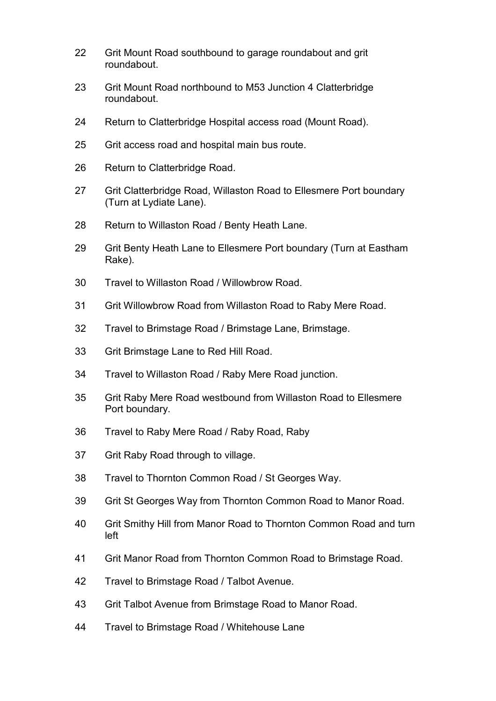- 22 Grit Mount Road southbound to garage roundabout and grit roundabout.
- 23 Grit Mount Road northbound to M53 Junction 4 Clatterbridge roundabout.
- 24 Return to Clatterbridge Hospital access road (Mount Road).
- 25 Grit access road and hospital main bus route.
- 26 Return to Clatterbridge Road.
- 27 Grit Clatterbridge Road, Willaston Road to Ellesmere Port boundary (Turn at Lydiate Lane).
- 28 Return to Willaston Road / Benty Heath Lane.
- 29 Grit Benty Heath Lane to Ellesmere Port boundary (Turn at Eastham Rake).
- 30 Travel to Willaston Road / Willowbrow Road.
- 31 Grit Willowbrow Road from Willaston Road to Raby Mere Road.
- 32 Travel to Brimstage Road / Brimstage Lane, Brimstage.
- 33 Grit Brimstage Lane to Red Hill Road.
- 34 Travel to Willaston Road / Raby Mere Road junction.
- 35 Grit Raby Mere Road westbound from Willaston Road to Ellesmere Port boundary.
- 36 Travel to Raby Mere Road / Raby Road, Raby
- 37 Grit Raby Road through to village.
- 38 Travel to Thornton Common Road / St Georges Way.
- 39 Grit St Georges Way from Thornton Common Road to Manor Road.
- 40 Grit Smithy Hill from Manor Road to Thornton Common Road and turn left
- 41 Grit Manor Road from Thornton Common Road to Brimstage Road.
- 42 Travel to Brimstage Road / Talbot Avenue.
- 43 Grit Talbot Avenue from Brimstage Road to Manor Road.
- 44 Travel to Brimstage Road / Whitehouse Lane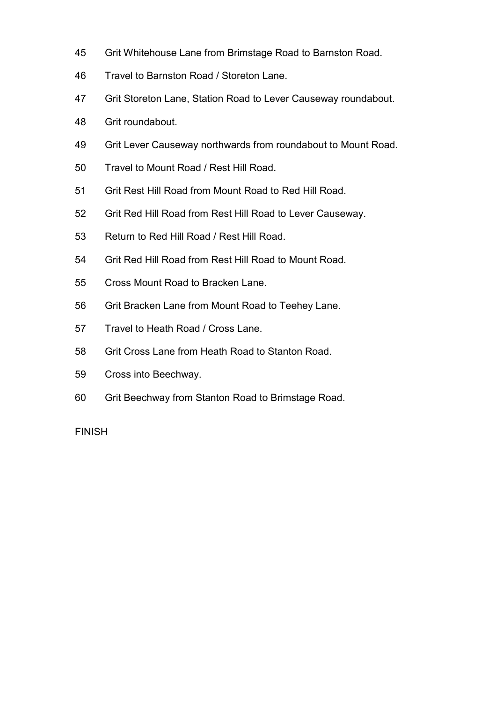- 45 Grit Whitehouse Lane from Brimstage Road to Barnston Road.
- 46 Travel to Barnston Road / Storeton Lane.
- 47 Grit Storeton Lane, Station Road to Lever Causeway roundabout.
- 48 Grit roundabout.
- 49 Grit Lever Causeway northwards from roundabout to Mount Road.
- 50 Travel to Mount Road / Rest Hill Road.
- 51 Grit Rest Hill Road from Mount Road to Red Hill Road.
- 52 Grit Red Hill Road from Rest Hill Road to Lever Causeway.
- 53 Return to Red Hill Road / Rest Hill Road.
- 54 Grit Red Hill Road from Rest Hill Road to Mount Road.
- 55 Cross Mount Road to Bracken Lane.
- 56 Grit Bracken Lane from Mount Road to Teehey Lane.
- 57 Travel to Heath Road / Cross Lane.
- 58 Grit Cross Lane from Heath Road to Stanton Road.
- 59 Cross into Beechway.
- 60 Grit Beechway from Stanton Road to Brimstage Road.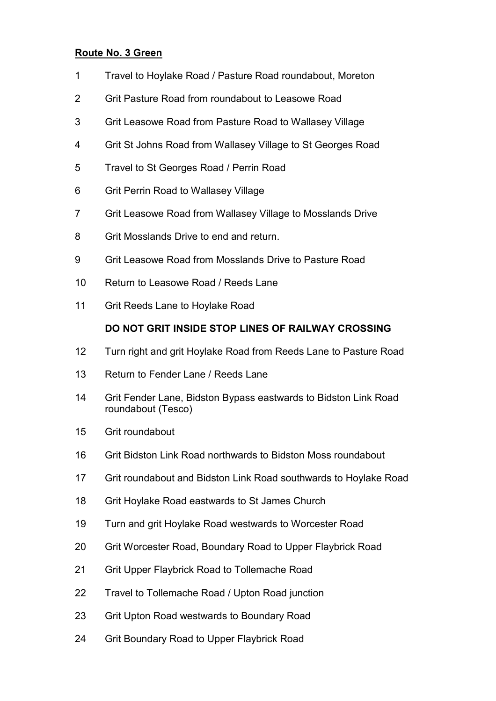## Route No. 3 Green

- 1 Travel to Hoylake Road / Pasture Road roundabout, Moreton
- 2 Grit Pasture Road from roundabout to Leasowe Road
- 3 Grit Leasowe Road from Pasture Road to Wallasey Village
- 4 Grit St Johns Road from Wallasey Village to St Georges Road
- 5 Travel to St Georges Road / Perrin Road
- 6 Grit Perrin Road to Wallasey Village
- 7 Grit Leasowe Road from Wallasey Village to Mosslands Drive
- 8 Grit Mosslands Drive to end and return.
- 9 Grit Leasowe Road from Mosslands Drive to Pasture Road
- 10 Return to Leasowe Road / Reeds Lane
- 11 Grit Reeds Lane to Hoylake Road

# DO NOT GRIT INSIDE STOP LINES OF RAILWAY CROSSING

- 12 Turn right and grit Hoylake Road from Reeds Lane to Pasture Road
- 13 Return to Fender Lane / Reeds Lane
- 14 Grit Fender Lane, Bidston Bypass eastwards to Bidston Link Road roundabout (Tesco)
- 15 Grit roundabout
- 16 Grit Bidston Link Road northwards to Bidston Moss roundabout
- 17 Grit roundabout and Bidston Link Road southwards to Hoylake Road
- 18 Grit Hoylake Road eastwards to St James Church
- 19 Turn and grit Hoylake Road westwards to Worcester Road
- 20 Grit Worcester Road, Boundary Road to Upper Flaybrick Road
- 21 Grit Upper Flaybrick Road to Tollemache Road
- 22 Travel to Tollemache Road / Upton Road junction
- 23 Grit Upton Road westwards to Boundary Road
- 24 Grit Boundary Road to Upper Flaybrick Road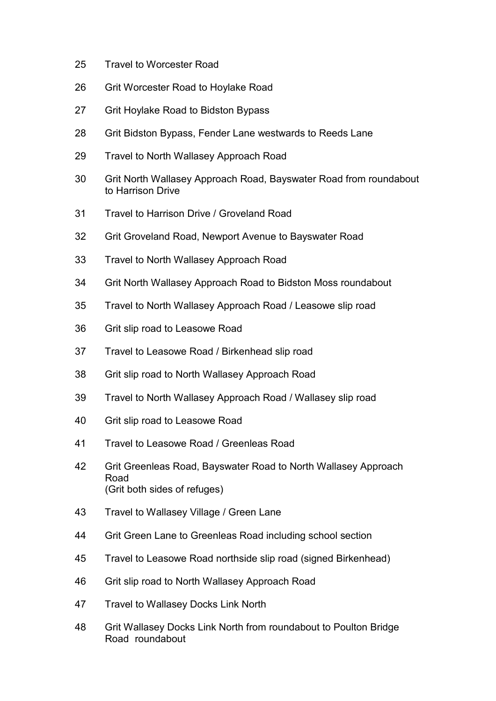- 25 Travel to Worcester Road
- 26 Grit Worcester Road to Hoylake Road
- 27 Grit Hoylake Road to Bidston Bypass
- 28 Grit Bidston Bypass, Fender Lane westwards to Reeds Lane
- 29 Travel to North Wallasey Approach Road
- 30 Grit North Wallasey Approach Road, Bayswater Road from roundabout to Harrison Drive
- 31 Travel to Harrison Drive / Groveland Road
- 32 Grit Groveland Road, Newport Avenue to Bayswater Road
- 33 Travel to North Wallasey Approach Road
- 34 Grit North Wallasey Approach Road to Bidston Moss roundabout
- 35 Travel to North Wallasey Approach Road / Leasowe slip road
- 36 Grit slip road to Leasowe Road
- 37 Travel to Leasowe Road / Birkenhead slip road
- 38 Grit slip road to North Wallasey Approach Road
- 39 Travel to North Wallasey Approach Road / Wallasey slip road
- 40 Grit slip road to Leasowe Road
- 41 Travel to Leasowe Road / Greenleas Road
- 42 Grit Greenleas Road, Bayswater Road to North Wallasey Approach Road (Grit both sides of refuges)
- 43 Travel to Wallasey Village / Green Lane
- 44 Grit Green Lane to Greenleas Road including school section
- 45 Travel to Leasowe Road northside slip road (signed Birkenhead)
- 46 Grit slip road to North Wallasey Approach Road
- 47 Travel to Wallasey Docks Link North
- 48 Grit Wallasey Docks Link North from roundabout to Poulton Bridge Road roundabout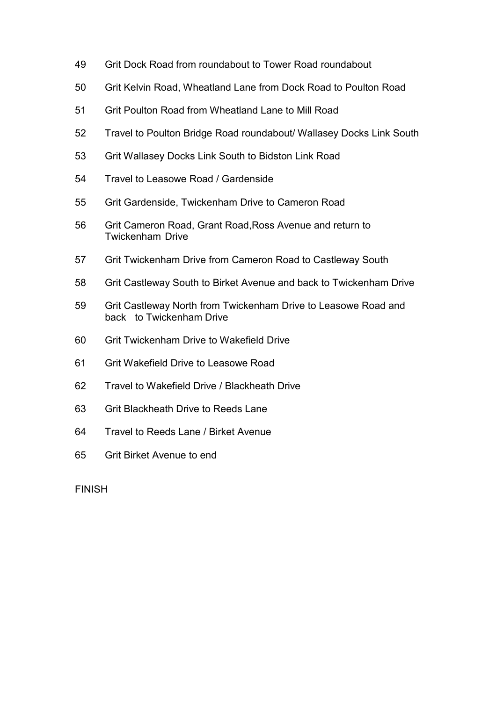- 49 Grit Dock Road from roundabout to Tower Road roundabout
- 50 Grit Kelvin Road, Wheatland Lane from Dock Road to Poulton Road
- 51 Grit Poulton Road from Wheatland Lane to Mill Road
- 52 Travel to Poulton Bridge Road roundabout/ Wallasey Docks Link South
- 53 Grit Wallasey Docks Link South to Bidston Link Road
- 54 Travel to Leasowe Road / Gardenside
- 55 Grit Gardenside, Twickenham Drive to Cameron Road
- 56 Grit Cameron Road, Grant Road,Ross Avenue and return to Twickenham Drive
- 57 Grit Twickenham Drive from Cameron Road to Castleway South
- 58 Grit Castleway South to Birket Avenue and back to Twickenham Drive
- 59 Grit Castleway North from Twickenham Drive to Leasowe Road and back to Twickenham Drive
- 60 Grit Twickenham Drive to Wakefield Drive
- 61 Grit Wakefield Drive to Leasowe Road
- 62 Travel to Wakefield Drive / Blackheath Drive
- 63 Grit Blackheath Drive to Reeds Lane
- 64 Travel to Reeds Lane / Birket Avenue
- 65 Grit Birket Avenue to end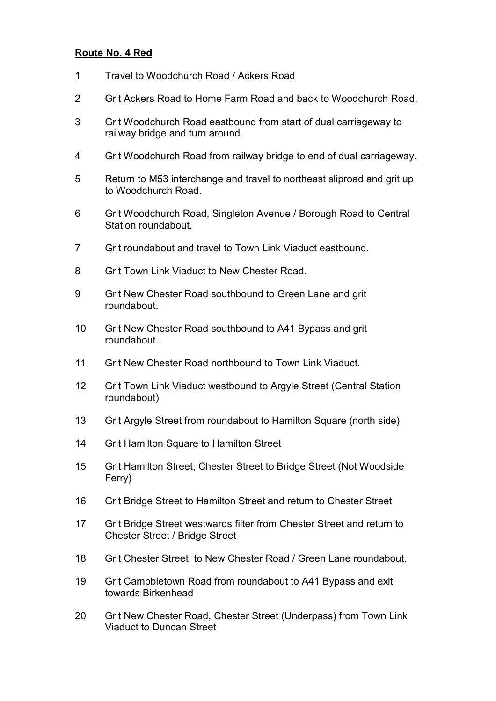#### Route No. 4 Red

- 1 Travel to Woodchurch Road / Ackers Road
- 2 Grit Ackers Road to Home Farm Road and back to Woodchurch Road.
- 3 Grit Woodchurch Road eastbound from start of dual carriageway to railway bridge and turn around.
- 4 Grit Woodchurch Road from railway bridge to end of dual carriageway.
- 5 Return to M53 interchange and travel to northeast sliproad and grit up to Woodchurch Road.
- 6 Grit Woodchurch Road, Singleton Avenue / Borough Road to Central Station roundabout.
- 7 Grit roundabout and travel to Town Link Viaduct eastbound.
- 8 Grit Town Link Viaduct to New Chester Road.
- 9 Grit New Chester Road southbound to Green Lane and grit roundabout.
- 10 Grit New Chester Road southbound to A41 Bypass and grit roundabout.
- 11 Grit New Chester Road northbound to Town Link Viaduct.
- 12 Grit Town Link Viaduct westbound to Argyle Street (Central Station roundabout)
- 13 Grit Argyle Street from roundabout to Hamilton Square (north side)
- 14 Grit Hamilton Square to Hamilton Street
- 15 Grit Hamilton Street, Chester Street to Bridge Street (Not Woodside Ferry)
- 16 Grit Bridge Street to Hamilton Street and return to Chester Street
- 17 Grit Bridge Street westwards filter from Chester Street and return to Chester Street / Bridge Street
- 18 Grit Chester Street to New Chester Road / Green Lane roundabout.
- 19 Grit Campbletown Road from roundabout to A41 Bypass and exit towards Birkenhead
- 20 Grit New Chester Road, Chester Street (Underpass) from Town Link Viaduct to Duncan Street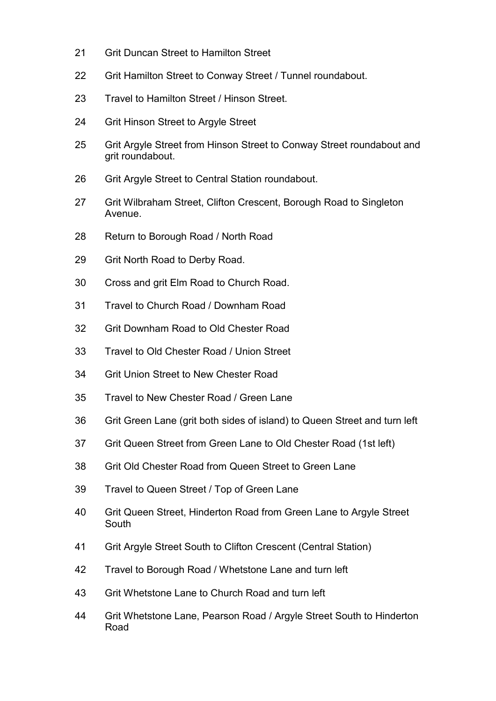- 21 Grit Duncan Street to Hamilton Street
- 22 Grit Hamilton Street to Conway Street / Tunnel roundabout.
- 23 Travel to Hamilton Street / Hinson Street.
- 24 Grit Hinson Street to Argyle Street
- 25 Grit Argyle Street from Hinson Street to Conway Street roundabout and grit roundabout.
- 26 Grit Argyle Street to Central Station roundabout.
- 27 Grit Wilbraham Street, Clifton Crescent, Borough Road to Singleton Avenue.
- 28 Return to Borough Road / North Road
- 29 Grit North Road to Derby Road.
- 30 Cross and grit Elm Road to Church Road.
- 31 Travel to Church Road / Downham Road
- 32 Grit Downham Road to Old Chester Road
- 33 Travel to Old Chester Road / Union Street
- 34 Grit Union Street to New Chester Road
- 35 Travel to New Chester Road / Green Lane
- 36 Grit Green Lane (grit both sides of island) to Queen Street and turn left
- 37 Grit Queen Street from Green Lane to Old Chester Road (1st left)
- 38 Grit Old Chester Road from Queen Street to Green Lane
- 39 Travel to Queen Street / Top of Green Lane
- 40 Grit Queen Street, Hinderton Road from Green Lane to Argyle Street South
- 41 Grit Argyle Street South to Clifton Crescent (Central Station)
- 42 Travel to Borough Road / Whetstone Lane and turn left
- 43 Grit Whetstone Lane to Church Road and turn left
- 44 Grit Whetstone Lane, Pearson Road / Argyle Street South to Hinderton Road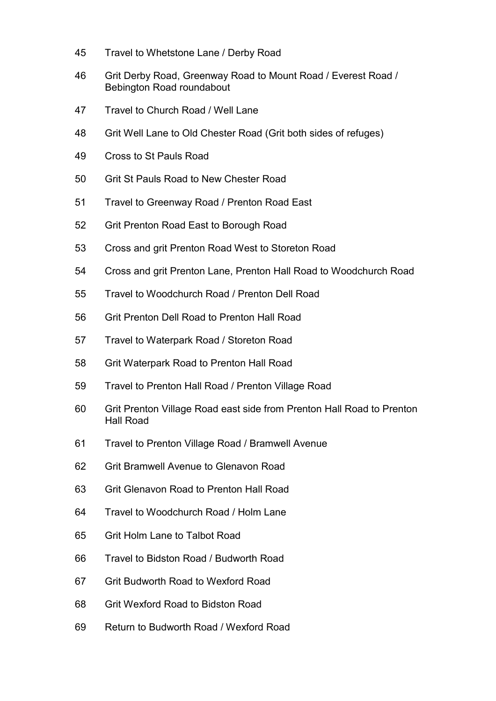- 45 Travel to Whetstone Lane / Derby Road
- 46 Grit Derby Road, Greenway Road to Mount Road / Everest Road / Bebington Road roundabout
- 47 Travel to Church Road / Well Lane
- 48 Grit Well Lane to Old Chester Road (Grit both sides of refuges)
- 49 Cross to St Pauls Road
- 50 Grit St Pauls Road to New Chester Road
- 51 Travel to Greenway Road / Prenton Road East
- 52 Grit Prenton Road East to Borough Road
- 53 Cross and grit Prenton Road West to Storeton Road
- 54 Cross and grit Prenton Lane, Prenton Hall Road to Woodchurch Road
- 55 Travel to Woodchurch Road / Prenton Dell Road
- 56 Grit Prenton Dell Road to Prenton Hall Road
- 57 Travel to Waterpark Road / Storeton Road
- 58 Grit Waterpark Road to Prenton Hall Road
- 59 Travel to Prenton Hall Road / Prenton Village Road
- 60 Grit Prenton Village Road east side from Prenton Hall Road to Prenton Hall Road
- 61 Travel to Prenton Village Road / Bramwell Avenue
- 62 Grit Bramwell Avenue to Glenavon Road
- 63 Grit Glenavon Road to Prenton Hall Road
- 64 Travel to Woodchurch Road / Holm Lane
- 65 Grit Holm Lane to Talbot Road
- 66 Travel to Bidston Road / Budworth Road
- 67 Grit Budworth Road to Wexford Road
- 68 Grit Wexford Road to Bidston Road
- 69 Return to Budworth Road / Wexford Road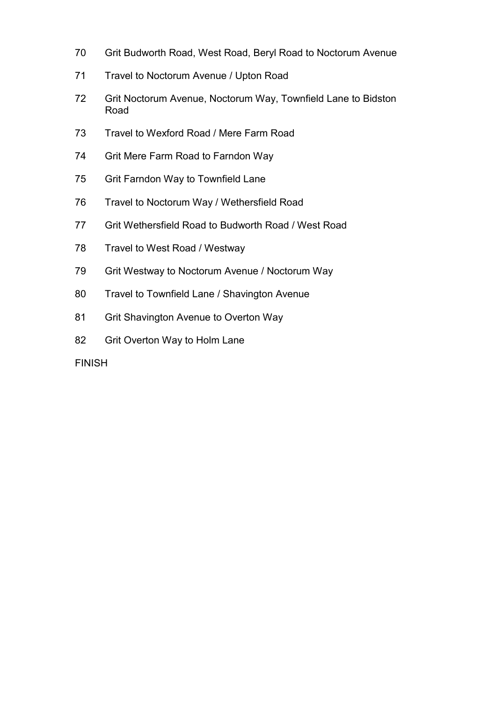- 70 Grit Budworth Road, West Road, Beryl Road to Noctorum Avenue
- 71 Travel to Noctorum Avenue / Upton Road
- 72 Grit Noctorum Avenue, Noctorum Way, Townfield Lane to Bidston Road
- 73 Travel to Wexford Road / Mere Farm Road
- 74 Grit Mere Farm Road to Farndon Way
- 75 Grit Farndon Way to Townfield Lane
- 76 Travel to Noctorum Way / Wethersfield Road
- 77 Grit Wethersfield Road to Budworth Road / West Road
- 78 Travel to West Road / Westway
- 79 Grit Westway to Noctorum Avenue / Noctorum Way
- 80 Travel to Townfield Lane / Shavington Avenue
- 81 Grit Shavington Avenue to Overton Way
- 82 Grit Overton Way to Holm Lane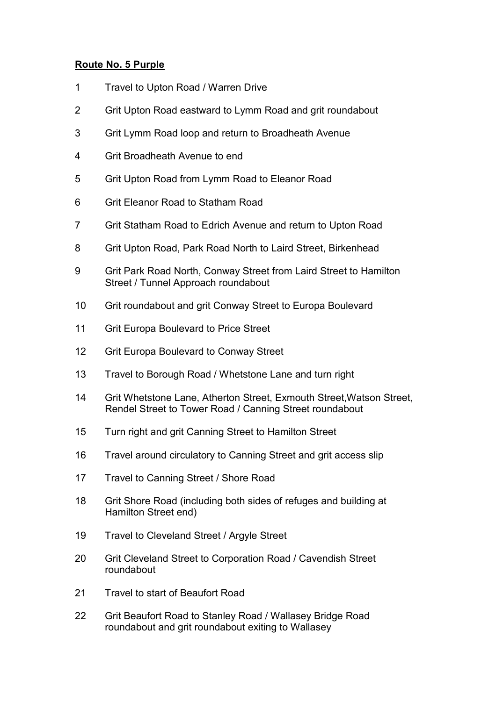# Route No. 5 Purple

- 1 Travel to Upton Road / Warren Drive
- 2 Grit Upton Road eastward to Lymm Road and grit roundabout
- 3 Grit Lymm Road loop and return to Broadheath Avenue
- 4 Grit Broadheath Avenue to end
- 5 Grit Upton Road from Lymm Road to Eleanor Road
- 6 Grit Eleanor Road to Statham Road
- 7 Grit Statham Road to Edrich Avenue and return to Upton Road
- 8 Grit Upton Road, Park Road North to Laird Street, Birkenhead
- 9 Grit Park Road North, Conway Street from Laird Street to Hamilton Street / Tunnel Approach roundabout
- 10 Grit roundabout and grit Conway Street to Europa Boulevard
- 11 Grit Europa Boulevard to Price Street
- 12 Grit Europa Boulevard to Conway Street
- 13 Travel to Borough Road / Whetstone Lane and turn right
- 14 Grit Whetstone Lane, Atherton Street, Exmouth Street, Watson Street, Rendel Street to Tower Road / Canning Street roundabout
- 15 Turn right and grit Canning Street to Hamilton Street
- 16 Travel around circulatory to Canning Street and grit access slip
- 17 Travel to Canning Street / Shore Road
- 18 Grit Shore Road (including both sides of refuges and building at Hamilton Street end)
- 19 Travel to Cleveland Street / Argyle Street
- 20 Grit Cleveland Street to Corporation Road / Cavendish Street roundabout
- 21 Travel to start of Beaufort Road
- 22 Grit Beaufort Road to Stanley Road / Wallasey Bridge Road roundabout and grit roundabout exiting to Wallasey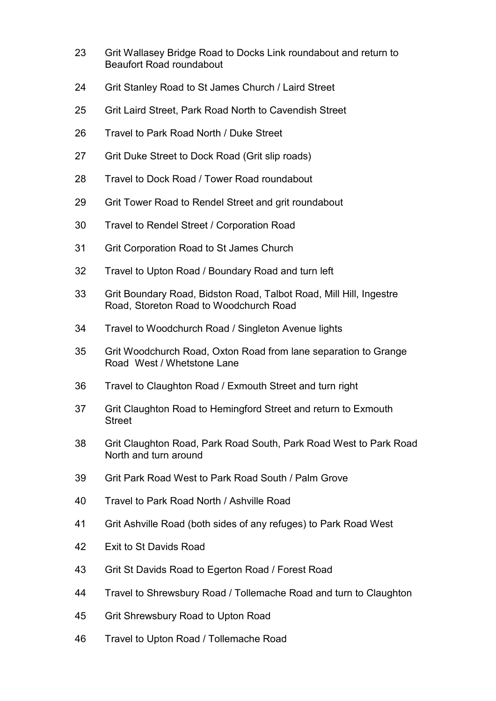- 23 Grit Wallasey Bridge Road to Docks Link roundabout and return to Beaufort Road roundabout
- 24 Grit Stanley Road to St James Church / Laird Street
- 25 Grit Laird Street, Park Road North to Cavendish Street
- 26 Travel to Park Road North / Duke Street
- 27 Grit Duke Street to Dock Road (Grit slip roads)
- 28 Travel to Dock Road / Tower Road roundabout
- 29 Grit Tower Road to Rendel Street and grit roundabout
- 30 Travel to Rendel Street / Corporation Road
- 31 Grit Corporation Road to St James Church
- 32 Travel to Upton Road / Boundary Road and turn left
- 33 Grit Boundary Road, Bidston Road, Talbot Road, Mill Hill, Ingestre Road, Storeton Road to Woodchurch Road
- 34 Travel to Woodchurch Road / Singleton Avenue lights
- 35 Grit Woodchurch Road, Oxton Road from lane separation to Grange Road West / Whetstone Lane
- 36 Travel to Claughton Road / Exmouth Street and turn right
- 37 Grit Claughton Road to Hemingford Street and return to Exmouth Street
- 38 Grit Claughton Road, Park Road South, Park Road West to Park Road North and turn around
- 39 Grit Park Road West to Park Road South / Palm Grove
- 40 Travel to Park Road North / Ashville Road
- 41 Grit Ashville Road (both sides of any refuges) to Park Road West
- 42 Exit to St Davids Road
- 43 Grit St Davids Road to Egerton Road / Forest Road
- 44 Travel to Shrewsbury Road / Tollemache Road and turn to Claughton
- 45 Grit Shrewsbury Road to Upton Road
- 46 Travel to Upton Road / Tollemache Road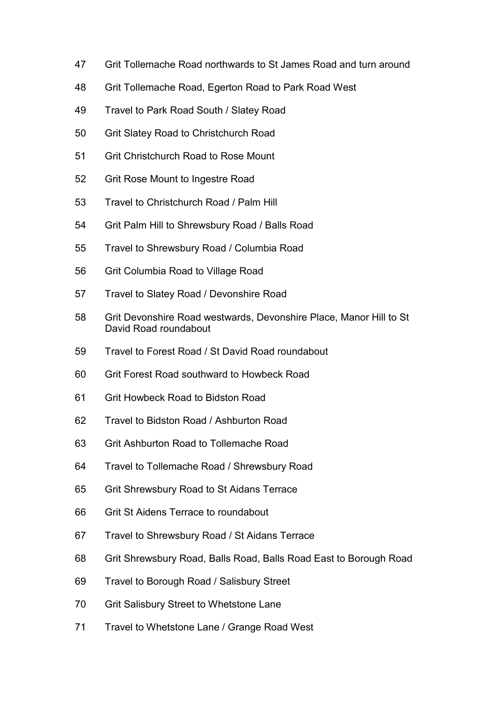- 47 Grit Tollemache Road northwards to St James Road and turn around
- 48 Grit Tollemache Road, Egerton Road to Park Road West
- 49 Travel to Park Road South / Slatey Road
- 50 Grit Slatey Road to Christchurch Road
- 51 Grit Christchurch Road to Rose Mount
- 52 Grit Rose Mount to Ingestre Road
- 53 Travel to Christchurch Road / Palm Hill
- 54 Grit Palm Hill to Shrewsbury Road / Balls Road
- 55 Travel to Shrewsbury Road / Columbia Road
- 56 Grit Columbia Road to Village Road
- 57 Travel to Slatey Road / Devonshire Road
- 58 Grit Devonshire Road westwards, Devonshire Place, Manor Hill to St David Road roundabout
- 59 Travel to Forest Road / St David Road roundabout
- 60 Grit Forest Road southward to Howbeck Road
- 61 Grit Howbeck Road to Bidston Road
- 62 Travel to Bidston Road / Ashburton Road
- 63 Grit Ashburton Road to Tollemache Road
- 64 Travel to Tollemache Road / Shrewsbury Road
- 65 Grit Shrewsbury Road to St Aidans Terrace
- 66 Grit St Aidens Terrace to roundabout
- 67 Travel to Shrewsbury Road / St Aidans Terrace
- 68 Grit Shrewsbury Road, Balls Road, Balls Road East to Borough Road
- 69 Travel to Borough Road / Salisbury Street
- 70 Grit Salisbury Street to Whetstone Lane
- 71 Travel to Whetstone Lane / Grange Road West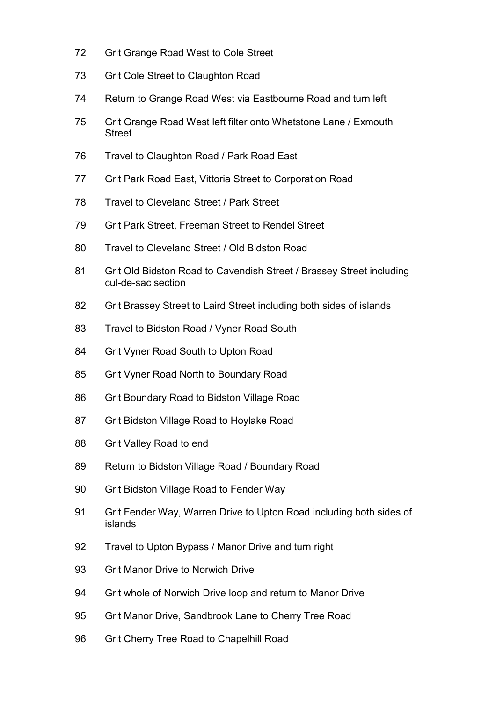- 72 Grit Grange Road West to Cole Street
- 73 Grit Cole Street to Claughton Road
- 74 Return to Grange Road West via Eastbourne Road and turn left
- 75 Grit Grange Road West left filter onto Whetstone Lane / Exmouth Street
- 76 Travel to Claughton Road / Park Road East
- 77 Grit Park Road East, Vittoria Street to Corporation Road
- 78 Travel to Cleveland Street / Park Street
- 79 Grit Park Street, Freeman Street to Rendel Street
- 80 Travel to Cleveland Street / Old Bidston Road
- 81 Grit Old Bidston Road to Cavendish Street / Brassey Street including cul-de-sac section
- 82 Grit Brassey Street to Laird Street including both sides of islands
- 83 Travel to Bidston Road / Vyner Road South
- 84 Grit Vyner Road South to Upton Road
- 85 Grit Vyner Road North to Boundary Road
- 86 Grit Boundary Road to Bidston Village Road
- 87 Grit Bidston Village Road to Hoylake Road
- 88 Grit Valley Road to end
- 89 Return to Bidston Village Road / Boundary Road
- 90 Grit Bidston Village Road to Fender Way
- 91 Grit Fender Way, Warren Drive to Upton Road including both sides of islands
- 92 Travel to Upton Bypass / Manor Drive and turn right
- 93 Grit Manor Drive to Norwich Drive
- 94 Grit whole of Norwich Drive loop and return to Manor Drive
- 95 Grit Manor Drive, Sandbrook Lane to Cherry Tree Road
- 96 Grit Cherry Tree Road to Chapelhill Road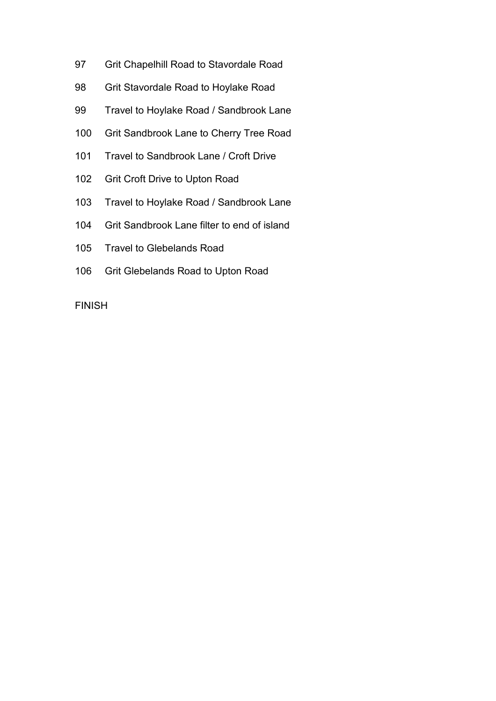- 97 Grit Chapelhill Road to Stavordale Road
- 98 Grit Stavordale Road to Hoylake Road
- 99 Travel to Hoylake Road / Sandbrook Lane
- 100 Grit Sandbrook Lane to Cherry Tree Road
- 101 Travel to Sandbrook Lane / Croft Drive
- 102 Grit Croft Drive to Upton Road
- 103 Travel to Hoylake Road / Sandbrook Lane
- 104 Grit Sandbrook Lane filter to end of island
- 105 Travel to Glebelands Road
- 106 Grit Glebelands Road to Upton Road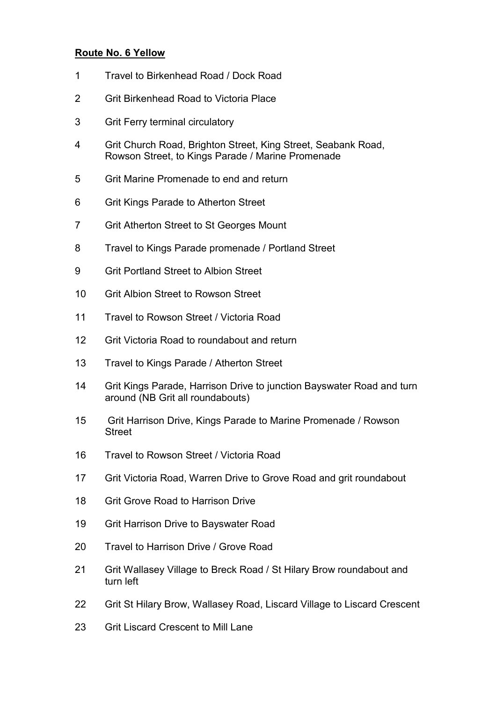### Route No. 6 Yellow

- 1 Travel to Birkenhead Road / Dock Road
- 2 Grit Birkenhead Road to Victoria Place
- 3 Grit Ferry terminal circulatory
- 4 Grit Church Road, Brighton Street, King Street, Seabank Road, Rowson Street, to Kings Parade / Marine Promenade
- 5 Grit Marine Promenade to end and return
- 6 Grit Kings Parade to Atherton Street
- 7 Grit Atherton Street to St Georges Mount
- 8 Travel to Kings Parade promenade / Portland Street
- 9 Grit Portland Street to Albion Street
- 10 Grit Albion Street to Rowson Street
- 11 Travel to Rowson Street / Victoria Road
- 12 Grit Victoria Road to roundabout and return
- 13 Travel to Kings Parade / Atherton Street
- 14 Grit Kings Parade, Harrison Drive to junction Bayswater Road and turn around (NB Grit all roundabouts)
- 15 Grit Harrison Drive, Kings Parade to Marine Promenade / Rowson Street
- 16 Travel to Rowson Street / Victoria Road
- 17 Grit Victoria Road, Warren Drive to Grove Road and grit roundabout
- 18 Grit Grove Road to Harrison Drive
- 19 Grit Harrison Drive to Bayswater Road
- 20 Travel to Harrison Drive / Grove Road
- 21 Grit Wallasey Village to Breck Road / St Hilary Brow roundabout and turn left
- 22 Grit St Hilary Brow, Wallasey Road, Liscard Village to Liscard Crescent
- 23 Grit Liscard Crescent to Mill Lane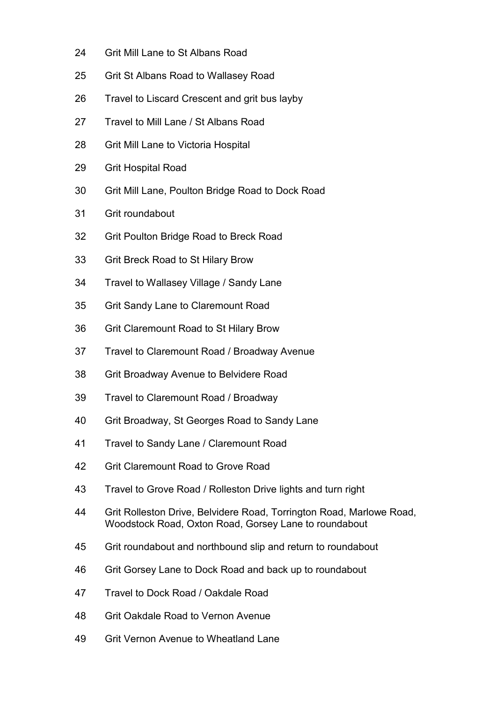- 24 Grit Mill Lane to St Albans Road
- 25 Grit St Albans Road to Wallasey Road
- 26 Travel to Liscard Crescent and grit bus layby
- 27 Travel to Mill Lane / St Albans Road
- 28 Grit Mill Lane to Victoria Hospital
- 29 Grit Hospital Road
- 30 Grit Mill Lane, Poulton Bridge Road to Dock Road
- 31 Grit roundabout
- 32 Grit Poulton Bridge Road to Breck Road
- 33 Grit Breck Road to St Hilary Brow
- 34 Travel to Wallasey Village / Sandy Lane
- 35 Grit Sandy Lane to Claremount Road
- 36 Grit Claremount Road to St Hilary Brow
- 37 Travel to Claremount Road / Broadway Avenue
- 38 Grit Broadway Avenue to Belvidere Road
- 39 Travel to Claremount Road / Broadway
- 40 Grit Broadway, St Georges Road to Sandy Lane
- 41 Travel to Sandy Lane / Claremount Road
- 42 Grit Claremount Road to Grove Road
- 43 Travel to Grove Road / Rolleston Drive lights and turn right
- 44 Grit Rolleston Drive, Belvidere Road, Torrington Road, Marlowe Road, Woodstock Road, Oxton Road, Gorsey Lane to roundabout
- 45 Grit roundabout and northbound slip and return to roundabout
- 46 Grit Gorsey Lane to Dock Road and back up to roundabout
- 47 Travel to Dock Road / Oakdale Road
- 48 Grit Oakdale Road to Vernon Avenue
- 49 Grit Vernon Avenue to Wheatland Lane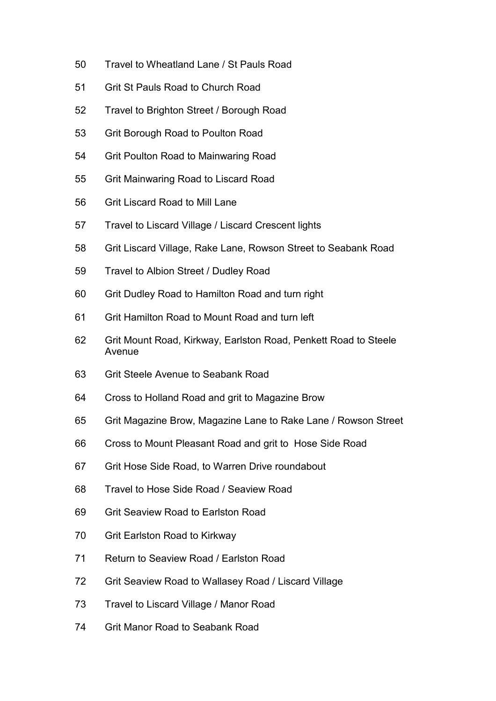- 50 Travel to Wheatland Lane / St Pauls Road
- 51 Grit St Pauls Road to Church Road
- 52 Travel to Brighton Street / Borough Road
- 53 Grit Borough Road to Poulton Road
- 54 Grit Poulton Road to Mainwaring Road
- 55 Grit Mainwaring Road to Liscard Road
- 56 Grit Liscard Road to Mill Lane
- 57 Travel to Liscard Village / Liscard Crescent lights
- 58 Grit Liscard Village, Rake Lane, Rowson Street to Seabank Road
- 59 Travel to Albion Street / Dudley Road
- 60 Grit Dudley Road to Hamilton Road and turn right
- 61 Grit Hamilton Road to Mount Road and turn left
- 62 Grit Mount Road, Kirkway, Earlston Road, Penkett Road to Steele Avenue
- 63 Grit Steele Avenue to Seabank Road
- 64 Cross to Holland Road and grit to Magazine Brow
- 65 Grit Magazine Brow, Magazine Lane to Rake Lane / Rowson Street
- 66 Cross to Mount Pleasant Road and grit to Hose Side Road
- 67 Grit Hose Side Road, to Warren Drive roundabout
- 68 Travel to Hose Side Road / Seaview Road
- 69 Grit Seaview Road to Earlston Road
- 70 Grit Earlston Road to Kirkway
- 71 Return to Seaview Road / Earlston Road
- 72 Grit Seaview Road to Wallasey Road / Liscard Village
- 73 Travel to Liscard Village / Manor Road
- 74 Grit Manor Road to Seabank Road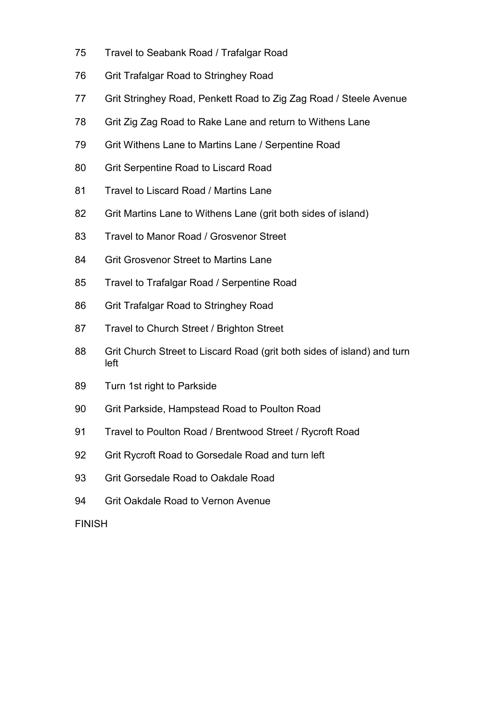- 75 Travel to Seabank Road / Trafalgar Road
- 76 Grit Trafalgar Road to Stringhey Road
- 77 Grit Stringhey Road, Penkett Road to Zig Zag Road / Steele Avenue
- 78 Grit Zig Zag Road to Rake Lane and return to Withens Lane
- 79 Grit Withens Lane to Martins Lane / Serpentine Road
- 80 Grit Serpentine Road to Liscard Road
- 81 Travel to Liscard Road / Martins Lane
- 82 Grit Martins Lane to Withens Lane (grit both sides of island)
- 83 Travel to Manor Road / Grosvenor Street
- 84 Grit Grosvenor Street to Martins Lane
- 85 Travel to Trafalgar Road / Serpentine Road
- 86 Grit Trafalgar Road to Stringhey Road
- 87 Travel to Church Street / Brighton Street
- 88 Grit Church Street to Liscard Road (grit both sides of island) and turn left
- 89 Turn 1st right to Parkside
- 90 Grit Parkside, Hampstead Road to Poulton Road
- 91 Travel to Poulton Road / Brentwood Street / Rycroft Road
- 92 Grit Rycroft Road to Gorsedale Road and turn left
- 93 Grit Gorsedale Road to Oakdale Road
- 94 Grit Oakdale Road to Vernon Avenue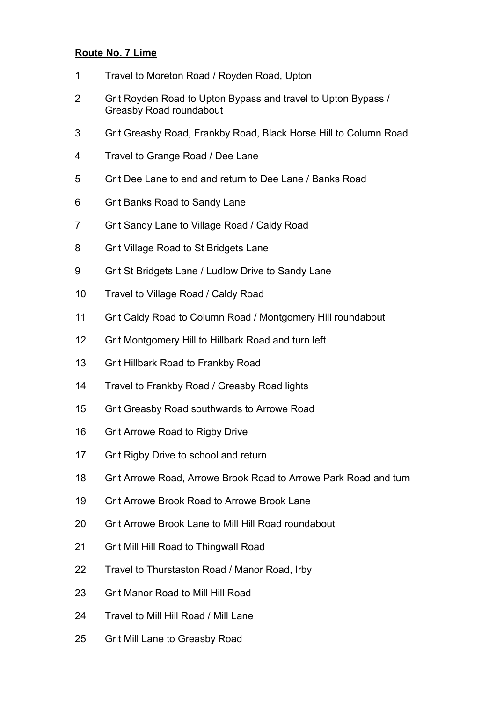# Route No. 7 Lime

- 1 Travel to Moreton Road / Royden Road, Upton
- 2 Grit Royden Road to Upton Bypass and travel to Upton Bypass / Greasby Road roundabout
- 3 Grit Greasby Road, Frankby Road, Black Horse Hill to Column Road
- 4 Travel to Grange Road / Dee Lane
- 5 Grit Dee Lane to end and return to Dee Lane / Banks Road
- 6 Grit Banks Road to Sandy Lane
- 7 Grit Sandy Lane to Village Road / Caldy Road
- 8 Grit Village Road to St Bridgets Lane
- 9 Grit St Bridgets Lane / Ludlow Drive to Sandy Lane
- 10 Travel to Village Road / Caldy Road
- 11 Grit Caldy Road to Column Road / Montgomery Hill roundabout
- 12 Grit Montgomery Hill to Hillbark Road and turn left
- 13 Grit Hillbark Road to Frankby Road
- 14 Travel to Frankby Road / Greasby Road lights
- 15 Grit Greasby Road southwards to Arrowe Road
- 16 Grit Arrowe Road to Rigby Drive
- 17 Grit Rigby Drive to school and return
- 18 Grit Arrowe Road, Arrowe Brook Road to Arrowe Park Road and turn
- 19 Grit Arrowe Brook Road to Arrowe Brook Lane
- 20 Grit Arrowe Brook Lane to Mill Hill Road roundabout
- 21 Grit Mill Hill Road to Thingwall Road
- 22 Travel to Thurstaston Road / Manor Road, Irby
- 23 Grit Manor Road to Mill Hill Road
- 24 Travel to Mill Hill Road / Mill Lane
- 25 Grit Mill Lane to Greasby Road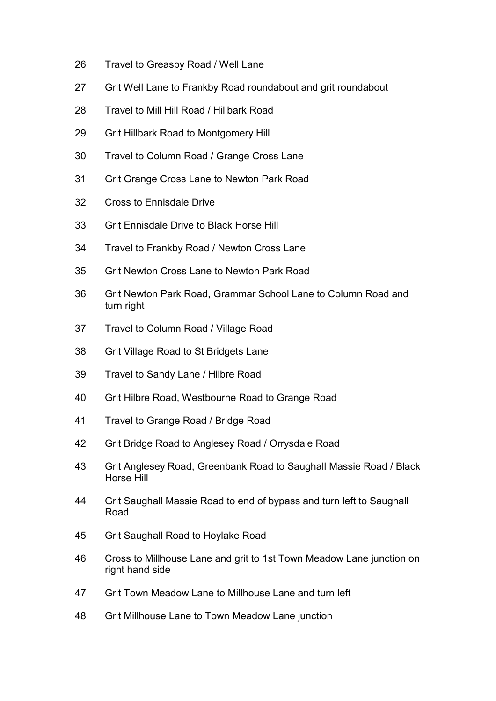- 26 Travel to Greasby Road / Well Lane
- 27 Grit Well Lane to Frankby Road roundabout and grit roundabout
- 28 Travel to Mill Hill Road / Hillbark Road
- 29 Grit Hillbark Road to Montgomery Hill
- 30 Travel to Column Road / Grange Cross Lane
- 31 Grit Grange Cross Lane to Newton Park Road
- 32 Cross to Ennisdale Drive
- 33 Grit Ennisdale Drive to Black Horse Hill
- 34 Travel to Frankby Road / Newton Cross Lane
- 35 Grit Newton Cross Lane to Newton Park Road
- 36 Grit Newton Park Road, Grammar School Lane to Column Road and turn right
- 37 Travel to Column Road / Village Road
- 38 Grit Village Road to St Bridgets Lane
- 39 Travel to Sandy Lane / Hilbre Road
- 40 Grit Hilbre Road, Westbourne Road to Grange Road
- 41 Travel to Grange Road / Bridge Road
- 42 Grit Bridge Road to Anglesey Road / Orrysdale Road
- 43 Grit Anglesey Road, Greenbank Road to Saughall Massie Road / Black Horse Hill
- 44 Grit Saughall Massie Road to end of bypass and turn left to Saughall Road
- 45 Grit Saughall Road to Hoylake Road
- 46 Cross to Millhouse Lane and grit to 1st Town Meadow Lane junction on right hand side
- 47 Grit Town Meadow Lane to Millhouse Lane and turn left
- 48 Grit Millhouse Lane to Town Meadow Lane junction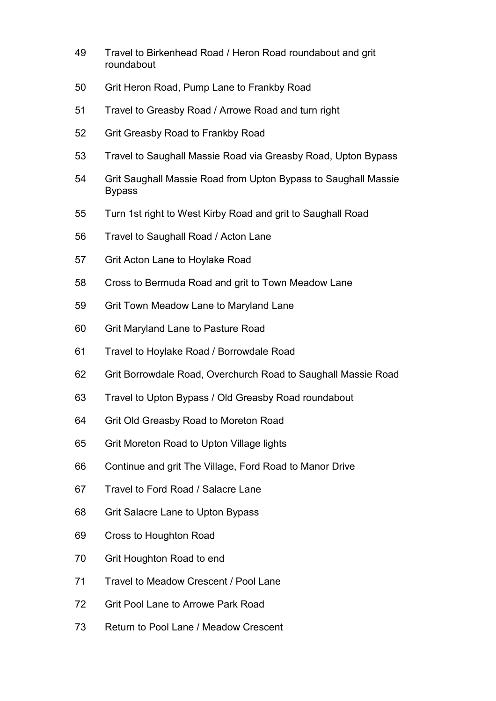- 49 Travel to Birkenhead Road / Heron Road roundabout and grit roundabout
- 50 Grit Heron Road, Pump Lane to Frankby Road
- 51 Travel to Greasby Road / Arrowe Road and turn right
- 52 Grit Greasby Road to Frankby Road
- 53 Travel to Saughall Massie Road via Greasby Road, Upton Bypass
- 54 Grit Saughall Massie Road from Upton Bypass to Saughall Massie Bypass
- 55 Turn 1st right to West Kirby Road and grit to Saughall Road
- 56 Travel to Saughall Road / Acton Lane
- 57 Grit Acton Lane to Hoylake Road
- 58 Cross to Bermuda Road and grit to Town Meadow Lane
- 59 Grit Town Meadow Lane to Maryland Lane
- 60 Grit Maryland Lane to Pasture Road
- 61 Travel to Hoylake Road / Borrowdale Road
- 62 Grit Borrowdale Road, Overchurch Road to Saughall Massie Road
- 63 Travel to Upton Bypass / Old Greasby Road roundabout
- 64 Grit Old Greasby Road to Moreton Road
- 65 Grit Moreton Road to Upton Village lights
- 66 Continue and grit The Village, Ford Road to Manor Drive
- 67 Travel to Ford Road / Salacre Lane
- 68 Grit Salacre Lane to Upton Bypass
- 69 Cross to Houghton Road
- 70 Grit Houghton Road to end
- 71 Travel to Meadow Crescent / Pool Lane
- 72 Grit Pool Lane to Arrowe Park Road
- 73 Return to Pool Lane / Meadow Crescent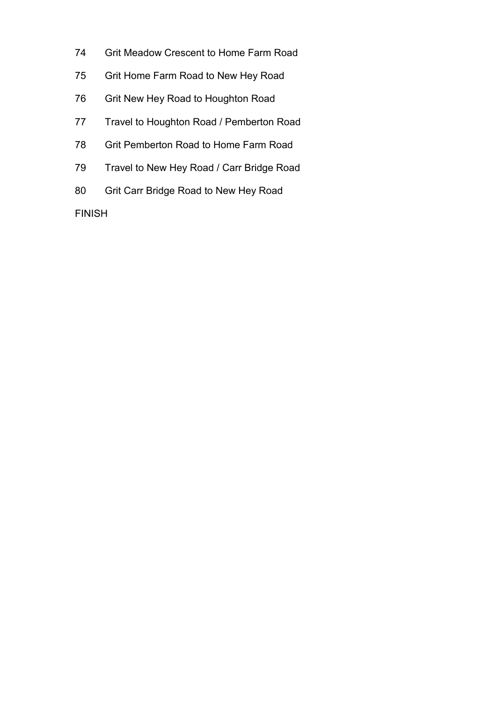- 74 Grit Meadow Crescent to Home Farm Road
- 75 Grit Home Farm Road to New Hey Road
- 76 Grit New Hey Road to Houghton Road
- 77 Travel to Houghton Road / Pemberton Road
- 78 Grit Pemberton Road to Home Farm Road
- 79 Travel to New Hey Road / Carr Bridge Road
- 80 Grit Carr Bridge Road to New Hey Road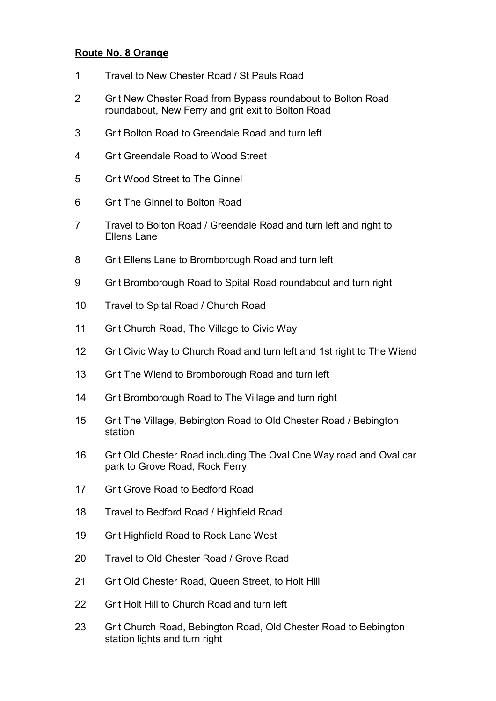### Route No. 8 Orange

- 1 Travel to New Chester Road / St Pauls Road
- 2 Grit New Chester Road from Bypass roundabout to Bolton Road roundabout, New Ferry and grit exit to Bolton Road
- 3 Grit Bolton Road to Greendale Road and turn left
- 4 Grit Greendale Road to Wood Street
- 5 Grit Wood Street to The Ginnel
- 6 Grit The Ginnel to Bolton Road
- 7 Travel to Bolton Road / Greendale Road and turn left and right to Ellens Lane
- 8 Grit Ellens Lane to Bromborough Road and turn left
- 9 Grit Bromborough Road to Spital Road roundabout and turn right
- 10 Travel to Spital Road / Church Road
- 11 Grit Church Road, The Village to Civic Way
- 12 Grit Civic Way to Church Road and turn left and 1st right to The Wiend
- 13 Grit The Wiend to Bromborough Road and turn left
- 14 Grit Bromborough Road to The Village and turn right
- 15 Grit The Village, Bebington Road to Old Chester Road / Bebington station
- 16 Grit Old Chester Road including The Oval One Way road and Oval car park to Grove Road, Rock Ferry
- 17 Grit Grove Road to Bedford Road
- 18 Travel to Bedford Road / Highfield Road
- 19 Grit Highfield Road to Rock Lane West
- 20 Travel to Old Chester Road / Grove Road
- 21 Grit Old Chester Road, Queen Street, to Holt Hill
- 22 Grit Holt Hill to Church Road and turn left
- 23 Grit Church Road, Bebington Road, Old Chester Road to Bebington station lights and turn right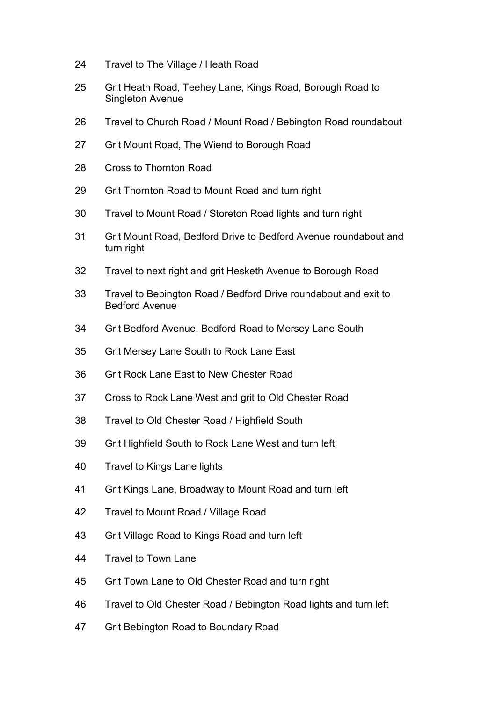- 24 Travel to The Village / Heath Road
- 25 Grit Heath Road, Teehey Lane, Kings Road, Borough Road to Singleton Avenue
- 26 Travel to Church Road / Mount Road / Bebington Road roundabout
- 27 Grit Mount Road, The Wiend to Borough Road
- 28 Cross to Thornton Road
- 29 Grit Thornton Road to Mount Road and turn right
- 30 Travel to Mount Road / Storeton Road lights and turn right
- 31 Grit Mount Road, Bedford Drive to Bedford Avenue roundabout and turn right
- 32 Travel to next right and grit Hesketh Avenue to Borough Road
- 33 Travel to Bebington Road / Bedford Drive roundabout and exit to Bedford Avenue
- 34 Grit Bedford Avenue, Bedford Road to Mersey Lane South
- 35 Grit Mersey Lane South to Rock Lane East
- 36 Grit Rock Lane East to New Chester Road
- 37 Cross to Rock Lane West and grit to Old Chester Road
- 38 Travel to Old Chester Road / Highfield South
- 39 Grit Highfield South to Rock Lane West and turn left
- 40 Travel to Kings Lane lights
- 41 Grit Kings Lane, Broadway to Mount Road and turn left
- 42 Travel to Mount Road / Village Road
- 43 Grit Village Road to Kings Road and turn left
- 44 Travel to Town Lane
- 45 Grit Town Lane to Old Chester Road and turn right
- 46 Travel to Old Chester Road / Bebington Road lights and turn left
- 47 Grit Bebington Road to Boundary Road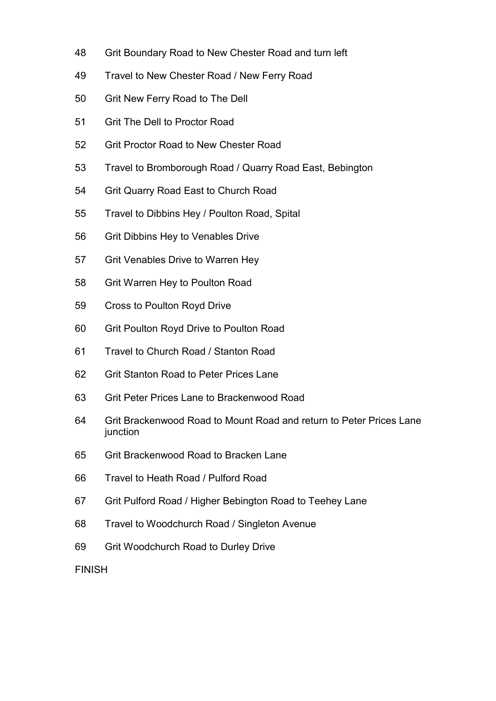- 48 Grit Boundary Road to New Chester Road and turn left
- 49 Travel to New Chester Road / New Ferry Road
- 50 Grit New Ferry Road to The Dell
- 51 Grit The Dell to Proctor Road
- 52 Grit Proctor Road to New Chester Road
- 53 Travel to Bromborough Road / Quarry Road East, Bebington
- 54 Grit Quarry Road East to Church Road
- 55 Travel to Dibbins Hey / Poulton Road, Spital
- 56 Grit Dibbins Hey to Venables Drive
- 57 Grit Venables Drive to Warren Hey
- 58 Grit Warren Hey to Poulton Road
- 59 Cross to Poulton Royd Drive
- 60 Grit Poulton Royd Drive to Poulton Road
- 61 Travel to Church Road / Stanton Road
- 62 Grit Stanton Road to Peter Prices Lane
- 63 Grit Peter Prices Lane to Brackenwood Road
- 64 Grit Brackenwood Road to Mount Road and return to Peter Prices Lane junction
- 65 Grit Brackenwood Road to Bracken Lane
- 66 Travel to Heath Road / Pulford Road
- 67 Grit Pulford Road / Higher Bebington Road to Teehey Lane
- 68 Travel to Woodchurch Road / Singleton Avenue
- 69 Grit Woodchurch Road to Durley Drive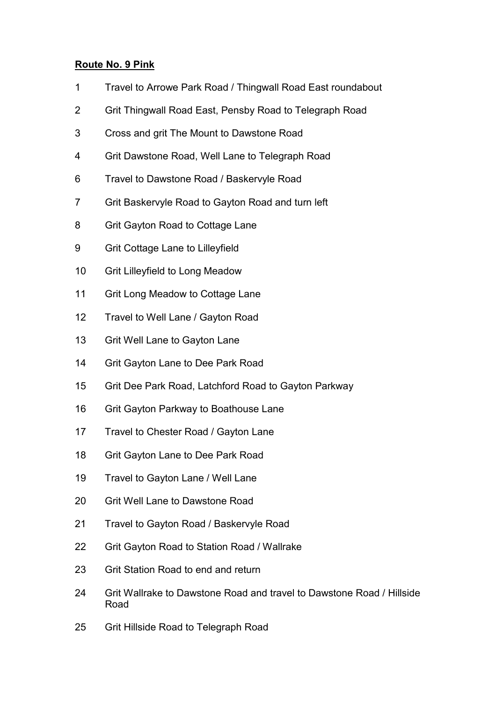# Route No. 9 Pink

- 1 Travel to Arrowe Park Road / Thingwall Road East roundabout
- 2 Grit Thingwall Road East, Pensby Road to Telegraph Road
- 3 Cross and grit The Mount to Dawstone Road
- 4 Grit Dawstone Road, Well Lane to Telegraph Road
- 6 Travel to Dawstone Road / Baskervyle Road
- 7 Grit Baskervyle Road to Gayton Road and turn left
- 8 Grit Gayton Road to Cottage Lane
- 9 Grit Cottage Lane to Lilleyfield
- 10 Grit Lilleyfield to Long Meadow
- 11 Grit Long Meadow to Cottage Lane
- 12 Travel to Well Lane / Gayton Road
- 13 Grit Well Lane to Gayton Lane
- 14 Grit Gayton Lane to Dee Park Road
- 15 Grit Dee Park Road, Latchford Road to Gayton Parkway
- 16 Grit Gayton Parkway to Boathouse Lane
- 17 Travel to Chester Road / Gayton Lane
- 18 Grit Gayton Lane to Dee Park Road
- 19 Travel to Gayton Lane / Well Lane
- 20 Grit Well Lane to Dawstone Road
- 21 Travel to Gayton Road / Baskervyle Road
- 22 Grit Gayton Road to Station Road / Wallrake
- 23 Grit Station Road to end and return
- 24 Grit Wallrake to Dawstone Road and travel to Dawstone Road / Hillside Road
- 25 Grit Hillside Road to Telegraph Road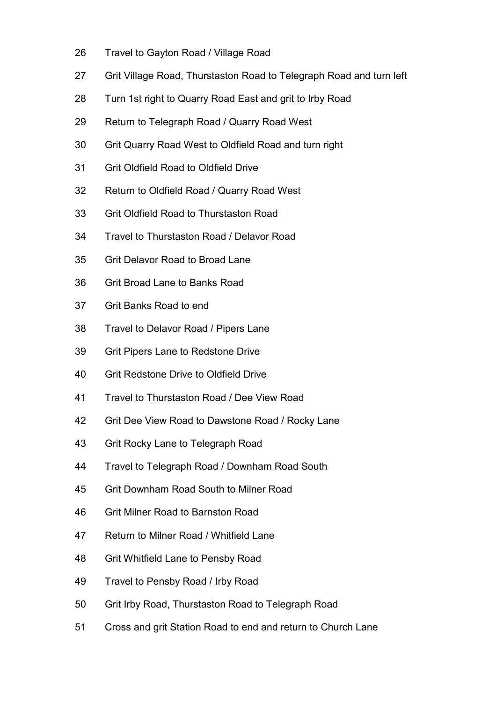- 26 Travel to Gayton Road / Village Road
- 27 Grit Village Road, Thurstaston Road to Telegraph Road and turn left
- 28 Turn 1st right to Quarry Road East and grit to Irby Road
- 29 Return to Telegraph Road / Quarry Road West
- 30 Grit Quarry Road West to Oldfield Road and turn right
- 31 Grit Oldfield Road to Oldfield Drive
- 32 Return to Oldfield Road / Quarry Road West
- 33 Grit Oldfield Road to Thurstaston Road
- 34 Travel to Thurstaston Road / Delavor Road
- 35 Grit Delavor Road to Broad Lane
- 36 Grit Broad Lane to Banks Road
- 37 Grit Banks Road to end
- 38 Travel to Delavor Road / Pipers Lane
- 39 Grit Pipers Lane to Redstone Drive
- 40 Grit Redstone Drive to Oldfield Drive
- 41 Travel to Thurstaston Road / Dee View Road
- 42 Grit Dee View Road to Dawstone Road / Rocky Lane
- 43 Grit Rocky Lane to Telegraph Road
- 44 Travel to Telegraph Road / Downham Road South
- 45 Grit Downham Road South to Milner Road
- 46 Grit Milner Road to Barnston Road
- 47 Return to Milner Road / Whitfield Lane
- 48 Grit Whitfield Lane to Pensby Road
- 49 Travel to Pensby Road / Irby Road
- 50 Grit Irby Road, Thurstaston Road to Telegraph Road
- 51 Cross and grit Station Road to end and return to Church Lane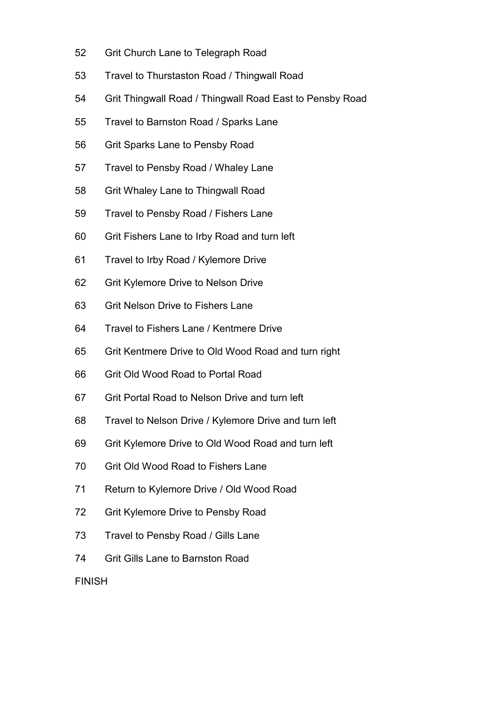- 52 Grit Church Lane to Telegraph Road
- 53 Travel to Thurstaston Road / Thingwall Road
- 54 Grit Thingwall Road / Thingwall Road East to Pensby Road
- 55 Travel to Barnston Road / Sparks Lane
- 56 Grit Sparks Lane to Pensby Road
- 57 Travel to Pensby Road / Whaley Lane
- 58 Grit Whaley Lane to Thingwall Road
- 59 Travel to Pensby Road / Fishers Lane
- 60 Grit Fishers Lane to Irby Road and turn left
- 61 Travel to Irby Road / Kylemore Drive
- 62 Grit Kylemore Drive to Nelson Drive
- 63 Grit Nelson Drive to Fishers Lane
- 64 Travel to Fishers Lane / Kentmere Drive
- 65 Grit Kentmere Drive to Old Wood Road and turn right
- 66 Grit Old Wood Road to Portal Road
- 67 Grit Portal Road to Nelson Drive and turn left
- 68 Travel to Nelson Drive / Kylemore Drive and turn left
- 69 Grit Kylemore Drive to Old Wood Road and turn left
- 70 Grit Old Wood Road to Fishers Lane
- 71 Return to Kylemore Drive / Old Wood Road
- 72 Grit Kylemore Drive to Pensby Road
- 73 Travel to Pensby Road / Gills Lane
- 74 Grit Gills Lane to Barnston Road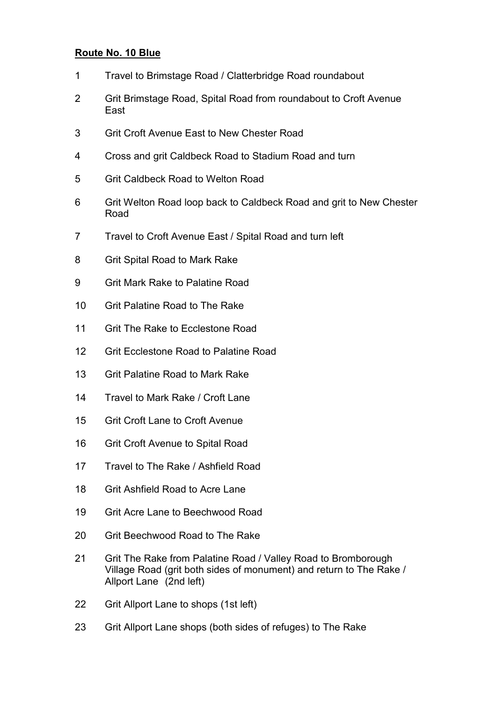### Route No. 10 Blue

- 1 Travel to Brimstage Road / Clatterbridge Road roundabout
- 2 Grit Brimstage Road, Spital Road from roundabout to Croft Avenue East
- 3 Grit Croft Avenue East to New Chester Road
- 4 Cross and grit Caldbeck Road to Stadium Road and turn
- 5 Grit Caldbeck Road to Welton Road
- 6 Grit Welton Road loop back to Caldbeck Road and grit to New Chester Road
- 7 Travel to Croft Avenue East / Spital Road and turn left
- 8 Grit Spital Road to Mark Rake
- 9 Grit Mark Rake to Palatine Road
- 10 Grit Palatine Road to The Rake
- 11 Grit The Rake to Ecclestone Road
- 12 Grit Ecclestone Road to Palatine Road
- 13 Grit Palatine Road to Mark Rake
- 14 Travel to Mark Rake / Croft Lane
- 15 Grit Croft Lane to Croft Avenue
- 16 Grit Croft Avenue to Spital Road
- 17 Travel to The Rake / Ashfield Road
- 18 Grit Ashfield Road to Acre Lane
- 19 Grit Acre Lane to Beechwood Road
- 20 Grit Beechwood Road to The Rake
- 21 Grit The Rake from Palatine Road / Valley Road to Bromborough Village Road (grit both sides of monument) and return to The Rake / Allport Lane (2nd left)
- 22 Grit Allport Lane to shops (1st left)
- 23 Grit Allport Lane shops (both sides of refuges) to The Rake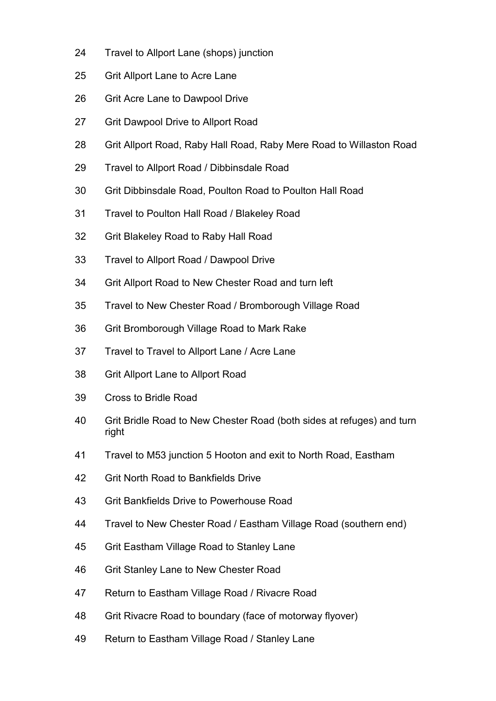- 24 Travel to Allport Lane (shops) junction
- 25 Grit Allport Lane to Acre Lane
- 26 Grit Acre Lane to Dawpool Drive
- 27 Grit Dawpool Drive to Allport Road
- 28 Grit Allport Road, Raby Hall Road, Raby Mere Road to Willaston Road
- 29 Travel to Allport Road / Dibbinsdale Road
- 30 Grit Dibbinsdale Road, Poulton Road to Poulton Hall Road
- 31 Travel to Poulton Hall Road / Blakeley Road
- 32 Grit Blakeley Road to Raby Hall Road
- 33 Travel to Allport Road / Dawpool Drive
- 34 Grit Allport Road to New Chester Road and turn left
- 35 Travel to New Chester Road / Bromborough Village Road
- 36 Grit Bromborough Village Road to Mark Rake
- 37 Travel to Travel to Allport Lane / Acre Lane
- 38 Grit Allport Lane to Allport Road
- 39 Cross to Bridle Road
- 40 Grit Bridle Road to New Chester Road (both sides at refuges) and turn right
- 41 Travel to M53 junction 5 Hooton and exit to North Road, Eastham
- 42 Grit North Road to Bankfields Drive
- 43 Grit Bankfields Drive to Powerhouse Road
- 44 Travel to New Chester Road / Eastham Village Road (southern end)
- 45 Grit Eastham Village Road to Stanley Lane
- 46 Grit Stanley Lane to New Chester Road
- 47 Return to Eastham Village Road / Rivacre Road
- 48 Grit Rivacre Road to boundary (face of motorway flyover)
- 49 Return to Eastham Village Road / Stanley Lane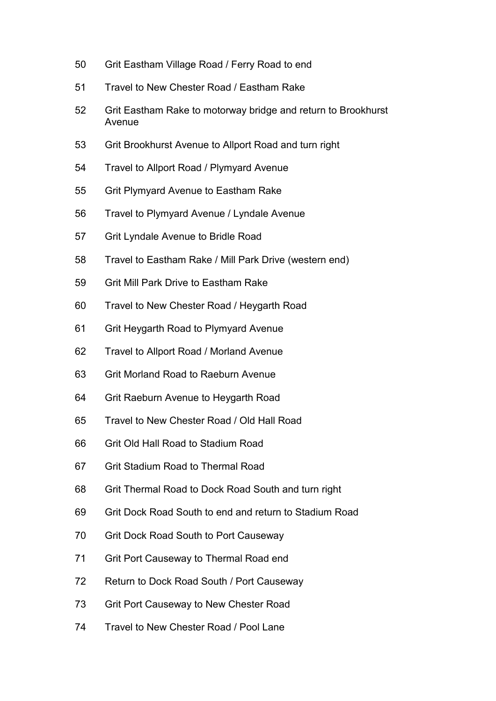- 50 Grit Eastham Village Road / Ferry Road to end
- 51 Travel to New Chester Road / Eastham Rake
- 52 Grit Eastham Rake to motorway bridge and return to Brookhurst Avenue
- 53 Grit Brookhurst Avenue to Allport Road and turn right
- 54 Travel to Allport Road / Plymyard Avenue
- 55 Grit Plymyard Avenue to Eastham Rake
- 56 Travel to Plymyard Avenue / Lyndale Avenue
- 57 Grit Lyndale Avenue to Bridle Road
- 58 Travel to Eastham Rake / Mill Park Drive (western end)
- 59 Grit Mill Park Drive to Eastham Rake
- 60 Travel to New Chester Road / Heygarth Road
- 61 Grit Heygarth Road to Plymyard Avenue
- 62 Travel to Allport Road / Morland Avenue
- 63 Grit Morland Road to Raeburn Avenue
- 64 Grit Raeburn Avenue to Heygarth Road
- 65 Travel to New Chester Road / Old Hall Road
- 66 Grit Old Hall Road to Stadium Road
- 67 Grit Stadium Road to Thermal Road
- 68 Grit Thermal Road to Dock Road South and turn right
- 69 Grit Dock Road South to end and return to Stadium Road
- 70 Grit Dock Road South to Port Causeway
- 71 Grit Port Causeway to Thermal Road end
- 72 Return to Dock Road South / Port Causeway
- 73 Grit Port Causeway to New Chester Road
- 74 Travel to New Chester Road / Pool Lane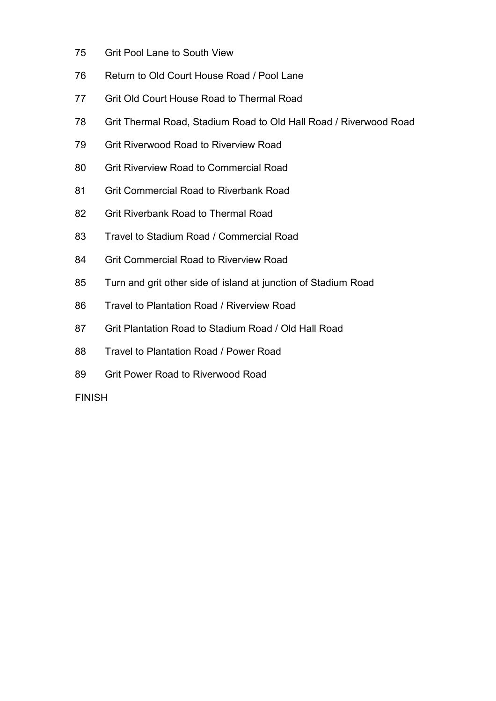- 75 Grit Pool Lane to South View
- 76 Return to Old Court House Road / Pool Lane
- 77 Grit Old Court House Road to Thermal Road
- 78 Grit Thermal Road, Stadium Road to Old Hall Road / Riverwood Road
- 79 Grit Riverwood Road to Riverview Road
- 80 Grit Riverview Road to Commercial Road
- 81 Grit Commercial Road to Riverbank Road
- 82 Grit Riverbank Road to Thermal Road
- 83 Travel to Stadium Road / Commercial Road
- 84 Grit Commercial Road to Riverview Road
- 85 Turn and grit other side of island at junction of Stadium Road
- 86 Travel to Plantation Road / Riverview Road
- 87 Grit Plantation Road to Stadium Road / Old Hall Road
- 88 Travel to Plantation Road / Power Road
- 89 Grit Power Road to Riverwood Road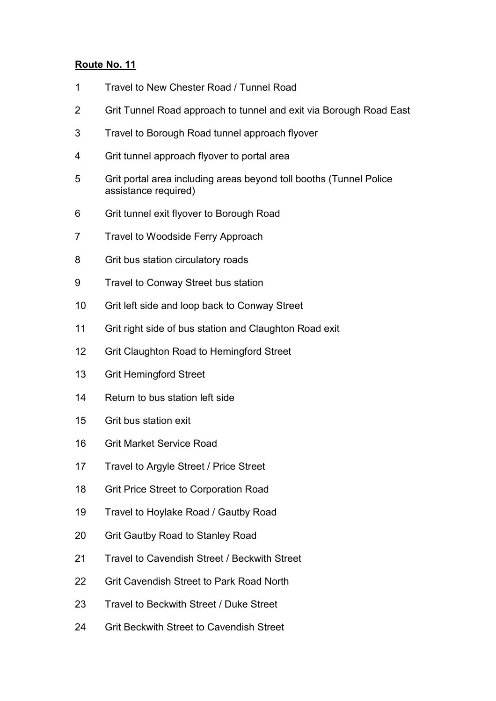# Route No. 11

- 1 Travel to New Chester Road / Tunnel Road
- 2 Grit Tunnel Road approach to tunnel and exit via Borough Road East
- 3 Travel to Borough Road tunnel approach flyover
- 4 Grit tunnel approach flyover to portal area
- 5 Grit portal area including areas beyond toll booths (Tunnel Police assistance required)
- 6 Grit tunnel exit flyover to Borough Road
- 7 Travel to Woodside Ferry Approach
- 8 Grit bus station circulatory roads
- 9 Travel to Conway Street bus station
- 10 Grit left side and loop back to Conway Street
- 11 Grit right side of bus station and Claughton Road exit
- 12 Grit Claughton Road to Hemingford Street
- 13 Grit Hemingford Street
- 14 Return to bus station left side
- 15 Grit bus station exit
- 16 Grit Market Service Road
- 17 Travel to Argyle Street / Price Street
- 18 Grit Price Street to Corporation Road
- 19 Travel to Hoylake Road / Gautby Road
- 20 Grit Gautby Road to Stanley Road
- 21 Travel to Cavendish Street / Beckwith Street
- 22 Grit Cavendish Street to Park Road North
- 23 Travel to Beckwith Street / Duke Street
- 24 Grit Beckwith Street to Cavendish Street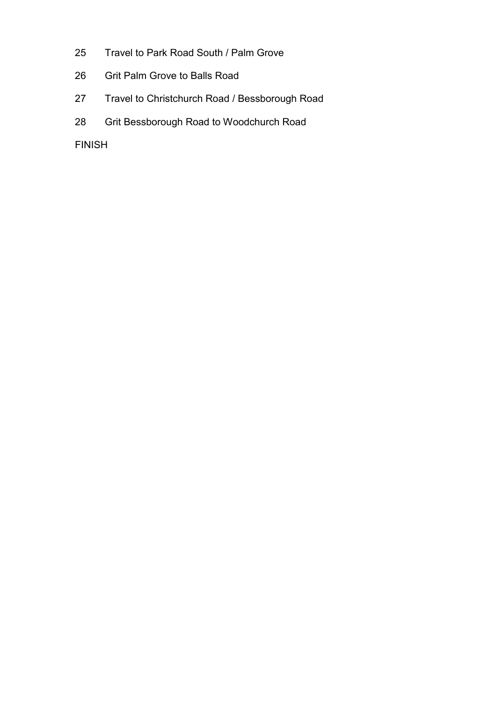- 25 Travel to Park Road South / Palm Grove
- 26 Grit Palm Grove to Balls Road
- 27 Travel to Christchurch Road / Bessborough Road
- 28 Grit Bessborough Road to Woodchurch Road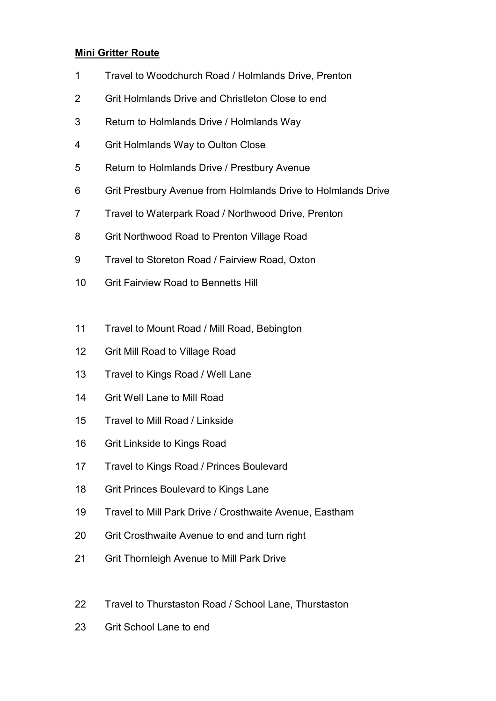# Mini Gritter Route

- 1 Travel to Woodchurch Road / Holmlands Drive, Prenton
- 2 Grit Holmlands Drive and Christleton Close to end
- 3 Return to Holmlands Drive / Holmlands Way
- 4 Grit Holmlands Way to Oulton Close
- 5 Return to Holmlands Drive / Prestbury Avenue
- 6 Grit Prestbury Avenue from Holmlands Drive to Holmlands Drive
- 7 Travel to Waterpark Road / Northwood Drive, Prenton
- 8 Grit Northwood Road to Prenton Village Road
- 9 Travel to Storeton Road / Fairview Road, Oxton
- 10 Grit Fairview Road to Bennetts Hill
- 11 Travel to Mount Road / Mill Road, Bebington
- 12 Grit Mill Road to Village Road
- 13 Travel to Kings Road / Well Lane
- 14 Grit Well Lane to Mill Road
- 15 Travel to Mill Road / Linkside
- 16 Grit Linkside to Kings Road
- 17 Travel to Kings Road / Princes Boulevard
- 18 Grit Princes Boulevard to Kings Lane
- 19 Travel to Mill Park Drive / Crosthwaite Avenue, Eastham
- 20 Grit Crosthwaite Avenue to end and turn right
- 21 Grit Thornleigh Avenue to Mill Park Drive
- 22 Travel to Thurstaston Road / School Lane, Thurstaston
- 23 Grit School Lane to end